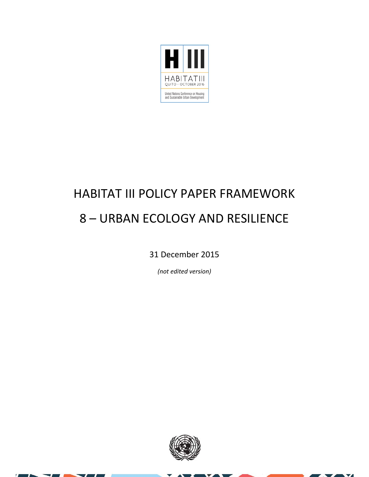

# HABITAT III POLICY PAPER FRAMEWORK 8 – URBAN ECOLOGY AND RESILIENCE

31 December 2015

*(not edited version)*



 $\overline{\mathbf{v}}$ z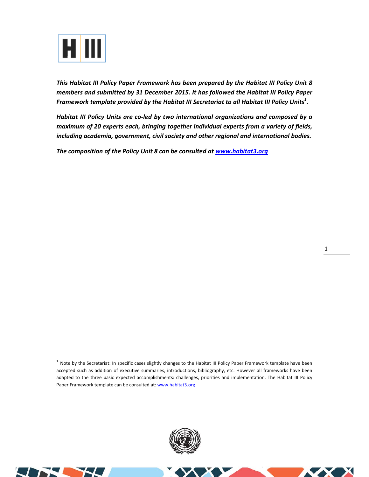

*This Habitat III Policy Paper Framework has been prepared by the Habitat III Policy Unit 8 members and submitted by 31 December 2015. It has followed the Habitat III Policy Paper Framework template provided by the Habitat III Secretariat to all Habitat III Policy Units<sup>1</sup> .* 

*Habitat III Policy Units are co‐led by two international organizations and composed by a maximum of 20 experts each, bringing together individual experts from a variety of fields, including academia, government, civil society and other regional and international bodies.* 

*The composition of the Policy Unit 8 can be consulted at www.habitat3.org* 

<sup>1.</sup> Note by the Secretariat: In specific cases slightly changes to the Habitat III Policy Paper Framework template have been accepted such as addition of executive summaries, introductions, bibliography, etc. However all frameworks have been adapted to the three basic expected accomplishments: challenges, priorities and implementation. The Habitat III Policy Paper Framework template can be consulted at: www.habitat3.org



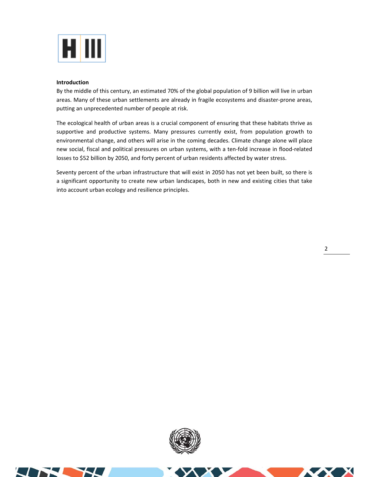

### **Introduction**

By the middle of this century, an estimated 70% of the global population of 9 billion will live in urban areas. Many of these urban settlements are already in fragile ecosystems and disaster‐prone areas, putting an unprecedented number of people at risk.

The ecological health of urban areas is a crucial component of ensuring that these habitats thrive as supportive and productive systems. Many pressures currently exist, from population growth to environmental change, and others will arise in the coming decades. Climate change alone will place new social, fiscal and political pressures on urban systems, with a ten‐fold increase in flood‐related losses to \$52 billion by 2050, and forty percent of urban residents affected by water stress.

Seventy percent of the urban infrastructure that will exist in 2050 has not yet been built, so there is a significant opportunity to create new urban landscapes, both in new and existing cities that take into account urban ecology and resilience principles.



 $\boldsymbol{\alpha}$ 

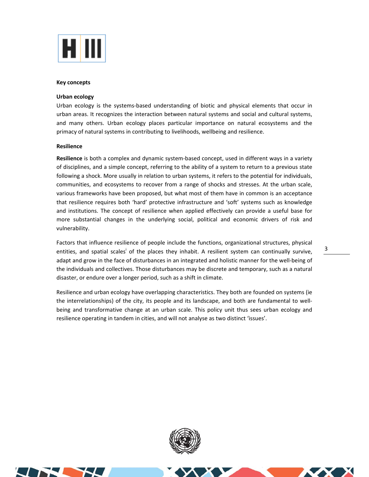

#### **Key concepts**

#### **Urban ecology**

Urban ecology is the systems‐based understanding of biotic and physical elements that occur in urban areas. It recognizes the interaction between natural systems and social and cultural systems, and many others. Urban ecology places particular importance on natural ecosystems and the primacy of natural systems in contributing to livelihoods, wellbeing and resilience.

### **Resilience**

Resilience is both a complex and dynamic system-based concept, used in different ways in a variety of disciplines, and a simple concept, referring to the ability of a system to return to a previous state following a shock. More usually in relation to urban systems, it refers to the potential for individuals, communities, and ecosystems to recover from a range of shocks and stresses. At the urban scale, various frameworks have been proposed, but what most of them have in common is an acceptance that resilience requires both 'hard' protective infrastructure and 'soft' systems such as knowledge and institutions. The concept of resilience when applied effectively can provide a useful base for more substantial changes in the underlying social, political and economic drivers of risk and vulnerability.

Factors that influence resilience of people include the functions, organizational structures, physical entities, and spatial scales of the places they inhabit. A resilient system can continually survive, adapt and grow in the face of disturbances in an integrated and holistic manner for the well‐being of the individuals and collectives. Those disturbances may be discrete and temporary, such as a natural disaster, or endure over a longer period, such as a shift in climate.

Resilience and urban ecology have overlapping characteristics. They both are founded on systems (ie the interrelationships) of the city, its people and its landscape, and both are fundamental to well‐ being and transformative change at an urban scale. This policy unit thus sees urban ecology and resilience operating in tandem in cities, and will not analyse as two distinct 'issues'.



3

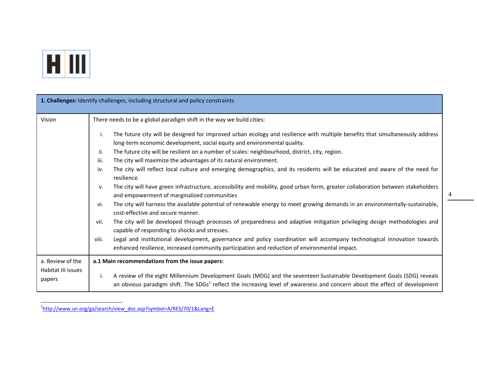

| 1. Challenges: Identify challenges, including structural and policy constraints |                                                                                                                                                                                                                                                                                                                                                                                                                                                                                                                                                                                                                                                                                                                                                                                                                                                                                                                                                                                                                                                                                                                                                                                                                                                                                                                                                             |  |
|---------------------------------------------------------------------------------|-------------------------------------------------------------------------------------------------------------------------------------------------------------------------------------------------------------------------------------------------------------------------------------------------------------------------------------------------------------------------------------------------------------------------------------------------------------------------------------------------------------------------------------------------------------------------------------------------------------------------------------------------------------------------------------------------------------------------------------------------------------------------------------------------------------------------------------------------------------------------------------------------------------------------------------------------------------------------------------------------------------------------------------------------------------------------------------------------------------------------------------------------------------------------------------------------------------------------------------------------------------------------------------------------------------------------------------------------------------|--|
| Vision                                                                          | There needs to be a global paradigm shift in the way we build cities:                                                                                                                                                                                                                                                                                                                                                                                                                                                                                                                                                                                                                                                                                                                                                                                                                                                                                                                                                                                                                                                                                                                                                                                                                                                                                       |  |
|                                                                                 | The future city will be designed for improved urban ecology and resilience with multiple benefits that simultaneously address<br>j.<br>long-term economic development, social equity and environmental quality.<br>The future city will be resilient on a number of scales: neighbourhood, district, city, region.<br>ii.<br>iii.<br>The city will maximize the advantages of its natural environment.<br>The city will reflect local culture and emerging demographics, and its residents will be educated and aware of the need for<br>iv.<br>resilience.<br>The city will have green infrastructure, accessibility and mobility, good urban form, greater collaboration between stakeholders<br>v.<br>and empowerment of marginalized communities<br>The city will harness the available potential of renewable energy to meet growing demands in an environmentally-sustainable,<br>vi.<br>cost-effective and secure manner.<br>The city will be developed through processes of preparedness and adaptive mitigation privileging design methodologies and<br>vii.<br>capable of responding to shocks and stresses.<br>Legal and institutional development, governance and policy coordination will accompany technological innovation towards<br>viii.<br>enhanced resilience, increased community participation and reduction of environmental impact. |  |
| a. Review of the<br>Habitat III issues<br>papers                                | a.1 Main recommendations from the issue papers:                                                                                                                                                                                                                                                                                                                                                                                                                                                                                                                                                                                                                                                                                                                                                                                                                                                                                                                                                                                                                                                                                                                                                                                                                                                                                                             |  |
|                                                                                 | A review of the eight Millennium Development Goals (MDG) and the seventeen Sustainable Development Goals (SDG) reveals<br>i.<br>an obvious paradigm shift. The SDGs <sup>1</sup> reflect the increasing level of awareness and concern about the effect of development                                                                                                                                                                                                                                                                                                                                                                                                                                                                                                                                                                                                                                                                                                                                                                                                                                                                                                                                                                                                                                                                                      |  |

<sup>1</sup>http://www.un.org/ga/search/view\_doc.asp?symbol=A/RES/70/1&Lang=E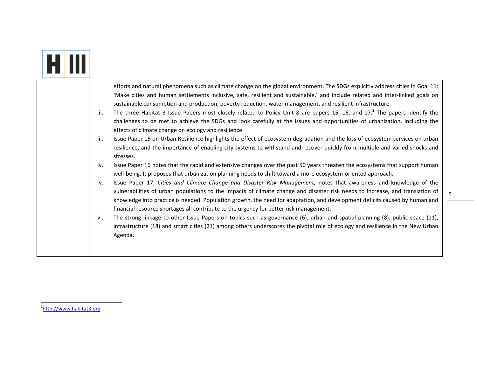|  | efforts and natural phenomena such as climate change on the global environment. The SDGs explicitly address cities in Goal 11:<br>'Make cities and human settlements inclusive, safe, resilient and sustainable,' and include related and inter-linked goals on<br>sustainable consumption and production, poverty reduction, water management, and resilient infrastructure.<br>The three Habitat 3 Issue Papers most closely related to Policy Unit 8 are papers 15, 16, and 17. <sup>2</sup> The papers identify the<br>ii.<br>challenges to be met to achieve the SDGs and look carefully at the issues and opportunities of urbanization, including the<br>effects of climate change on ecology and resilience.<br>Issue Paper 15 on Urban Resilience highlights the effect of ecosystem degradation and the loss of ecosystem services on urban<br>iii.<br>resilience, and the importance of enabling city systems to withstand and recover quickly from multiple and varied shocks and<br>stresses.                   |
|--|------------------------------------------------------------------------------------------------------------------------------------------------------------------------------------------------------------------------------------------------------------------------------------------------------------------------------------------------------------------------------------------------------------------------------------------------------------------------------------------------------------------------------------------------------------------------------------------------------------------------------------------------------------------------------------------------------------------------------------------------------------------------------------------------------------------------------------------------------------------------------------------------------------------------------------------------------------------------------------------------------------------------------|
|  | Issue Paper 16 notes that the rapid and extensive changes over the past 50 years threaten the ecosystems that support human<br>iv.<br>well-being. It proposes that urbanization planning needs to shift toward a more ecosystem-oriented approach.<br>Issue Paper 17, Cities and Climate Change and Disaster Risk Management, notes that awareness and knowledge of the<br>v.<br>vulnerabilities of urban populations to the impacts of climate change and disaster risk needs to increase, and translation of<br>knowledge into practice is needed. Population growth, the need for adaptation, and development deficits caused by human and<br>financial resource shortages all contribute to the urgency for better risk management.<br>The strong linkage to other Issue Papers on topics such as governance (6), urban and spatial planning (8), public space (11),<br>vi.<br>infrastructure (18) and smart cities (21) among others underscores the pivotal role of ecology and resilience in the New Urban<br>Agenda. |

×

<sup>2</sup>http://www.habitat3.org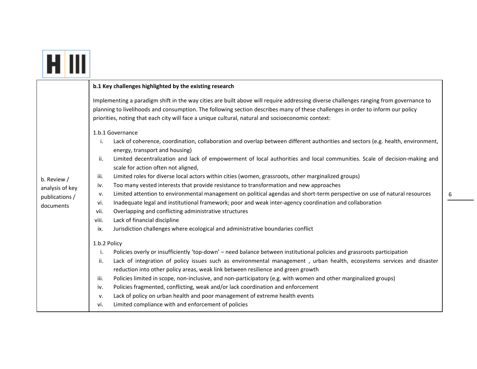|                 | b.1 Key challenges highlighted by the existing research                                                                                                                                                                                                                                                                                                                       |
|-----------------|-------------------------------------------------------------------------------------------------------------------------------------------------------------------------------------------------------------------------------------------------------------------------------------------------------------------------------------------------------------------------------|
|                 | Implementing a paradigm shift in the way cities are built above will require addressing diverse challenges ranging from governance to<br>planning to livelihoods and consumption. The following section describes many of these challenges in order to inform our policy<br>priorities, noting that each city will face a unique cultural, natural and socioeconomic context: |
|                 | 1.b.1 Governance<br>Lack of coherence, coordination, collaboration and overlap between different authorities and sectors (e.g. health, environment,<br>i.<br>energy, transport and housing)                                                                                                                                                                                   |
|                 | Limited decentralization and lack of empowerment of local authorities and local communities. Scale of decision-making and<br>ii.<br>scale for action often not aligned,                                                                                                                                                                                                       |
| b. Review /     | Limited roles for diverse local actors within cities (women, grassroots, other marginalized groups)<br>iii.                                                                                                                                                                                                                                                                   |
| analysis of key | Too many vested interests that provide resistance to transformation and new approaches<br>iv.                                                                                                                                                                                                                                                                                 |
| publications /  | Limited attention to environmental management on political agendas and short-term perspective on use of natural resources<br>v.                                                                                                                                                                                                                                               |
| documents       | Inadequate legal and institutional framework; poor and weak inter-agency coordination and collaboration<br>vi.                                                                                                                                                                                                                                                                |
|                 | Overlapping and conflicting administrative structures<br>vii.                                                                                                                                                                                                                                                                                                                 |
|                 | Lack of financial discipline<br>viii.                                                                                                                                                                                                                                                                                                                                         |
|                 | Jurisdiction challenges where ecological and administrative boundaries conflict<br>ix.                                                                                                                                                                                                                                                                                        |
|                 | 1.b.2 Policy                                                                                                                                                                                                                                                                                                                                                                  |
|                 | Policies overly or insufficiently 'top-down' - need balance between institutional policies and grassroots participation<br>i.                                                                                                                                                                                                                                                 |
|                 | Lack of integration of policy issues such as environmental management, urban health, ecosystems services and disaster<br>ii.                                                                                                                                                                                                                                                  |
|                 | reduction into other policy areas, weak link between resilience and green growth                                                                                                                                                                                                                                                                                              |
|                 | Policies limited in scope, non-inclusive, and non-participatory (e.g. with women and other marginalized groups)<br>iii.                                                                                                                                                                                                                                                       |
|                 | Policies fragmented, conflicting, weak and/or lack coordination and enforcement<br>iv.                                                                                                                                                                                                                                                                                        |
|                 | Lack of policy on urban health and poor management of extreme health events<br>v.                                                                                                                                                                                                                                                                                             |
|                 | Limited compliance with and enforcement of policies<br>vi.                                                                                                                                                                                                                                                                                                                    |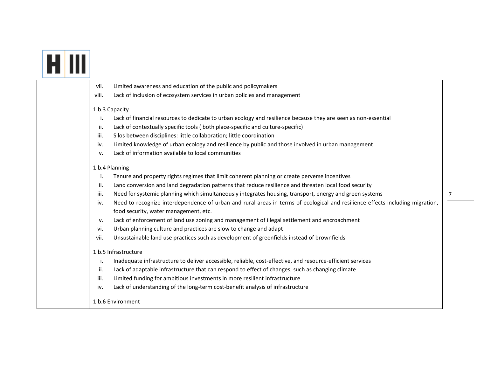|  | Limited awareness and education of the public and policymakers<br>vii.                                                                                                        |  |
|--|-------------------------------------------------------------------------------------------------------------------------------------------------------------------------------|--|
|  | Lack of inclusion of ecosystem services in urban policies and management<br>viii.                                                                                             |  |
|  | 1.b.3 Capacity                                                                                                                                                                |  |
|  | i.<br>Lack of financial resources to dedicate to urban ecology and resilience because they are seen as non-essential                                                          |  |
|  | ii.<br>Lack of contextually specific tools (both place-specific and culture-specific)                                                                                         |  |
|  | Silos between disciplines: little collaboration; little coordination<br>iii.                                                                                                  |  |
|  | Limited knowledge of urban ecology and resilience by public and those involved in urban management<br>iv.                                                                     |  |
|  | Lack of information available to local communities<br>v.                                                                                                                      |  |
|  | 1.b.4 Planning                                                                                                                                                                |  |
|  | i.<br>Tenure and property rights regimes that limit coherent planning or create perverse incentives                                                                           |  |
|  | Land conversion and land degradation patterns that reduce resilience and threaten local food security<br>ii.                                                                  |  |
|  | iii.<br>Need for systemic planning which simultaneously integrates housing, transport, energy and green systems                                                               |  |
|  | Need to recognize interdependence of urban and rural areas in terms of ecological and resilience effects including migration,<br>iv.<br>food security, water management, etc. |  |
|  | Lack of enforcement of land use zoning and management of illegal settlement and encroachment<br>v.                                                                            |  |
|  | Urban planning culture and practices are slow to change and adapt<br>vi.                                                                                                      |  |
|  | vii.<br>Unsustainable land use practices such as development of greenfields instead of brownfields                                                                            |  |
|  | 1.b.5 Infrastructure                                                                                                                                                          |  |
|  | Inadequate infrastructure to deliver accessible, reliable, cost-effective, and resource-efficient services<br>i.                                                              |  |
|  | Lack of adaptable infrastructure that can respond to effect of changes, such as changing climate<br>ii.                                                                       |  |
|  | iii.<br>Limited funding for ambitious investments in more resilient infrastructure                                                                                            |  |
|  | Lack of understanding of the long-term cost-benefit analysis of infrastructure<br>iv.                                                                                         |  |
|  | 1.b.6 Environment                                                                                                                                                             |  |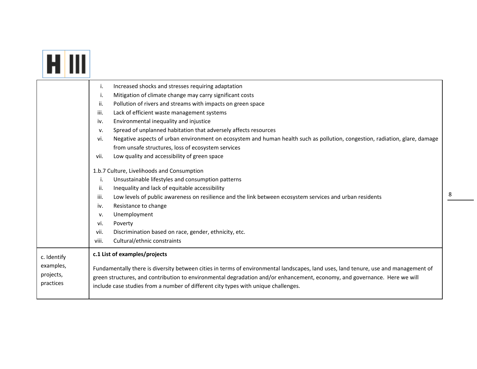|--|--|

|                                     | Increased shocks and stresses requiring adaptation<br>i.                                                                                                                                                                                                                                                                                               |
|-------------------------------------|--------------------------------------------------------------------------------------------------------------------------------------------------------------------------------------------------------------------------------------------------------------------------------------------------------------------------------------------------------|
|                                     | Mitigation of climate change may carry significant costs<br>i.                                                                                                                                                                                                                                                                                         |
|                                     | Pollution of rivers and streams with impacts on green space<br>ii.                                                                                                                                                                                                                                                                                     |
|                                     | Lack of efficient waste management systems<br>iii.                                                                                                                                                                                                                                                                                                     |
|                                     | Environmental inequality and injustice<br>iv.                                                                                                                                                                                                                                                                                                          |
|                                     | Spread of unplanned habitation that adversely affects resources<br>V.                                                                                                                                                                                                                                                                                  |
|                                     | Negative aspects of urban environment on ecosystem and human health such as pollution, congestion, radiation, glare, damage<br>vi.                                                                                                                                                                                                                     |
|                                     | from unsafe structures, loss of ecosystem services                                                                                                                                                                                                                                                                                                     |
|                                     | Low quality and accessibility of green space<br>vii.                                                                                                                                                                                                                                                                                                   |
|                                     | 1.b.7 Culture, Livelihoods and Consumption                                                                                                                                                                                                                                                                                                             |
|                                     | Unsustainable lifestyles and consumption patterns<br>j.                                                                                                                                                                                                                                                                                                |
|                                     | ii.<br>Inequality and lack of equitable accessibility                                                                                                                                                                                                                                                                                                  |
|                                     | iii.<br>Low levels of public awareness on resilience and the link between ecosystem services and urban residents                                                                                                                                                                                                                                       |
|                                     | Resistance to change<br>iv.                                                                                                                                                                                                                                                                                                                            |
|                                     | Unemployment<br>v.                                                                                                                                                                                                                                                                                                                                     |
|                                     | vi.<br>Poverty                                                                                                                                                                                                                                                                                                                                         |
|                                     | Discrimination based on race, gender, ethnicity, etc.<br>vii.                                                                                                                                                                                                                                                                                          |
|                                     | Cultural/ethnic constraints<br>viii.                                                                                                                                                                                                                                                                                                                   |
| c. Identify                         | c.1 List of examples/projects                                                                                                                                                                                                                                                                                                                          |
| examples,<br>projects,<br>practices | Fundamentally there is diversity between cities in terms of environmental landscapes, land uses, land tenure, use and management of<br>green structures, and contribution to environmental degradation and/or enhancement, economy, and governance. Here we will<br>include case studies from a number of different city types with unique challenges. |
|                                     |                                                                                                                                                                                                                                                                                                                                                        |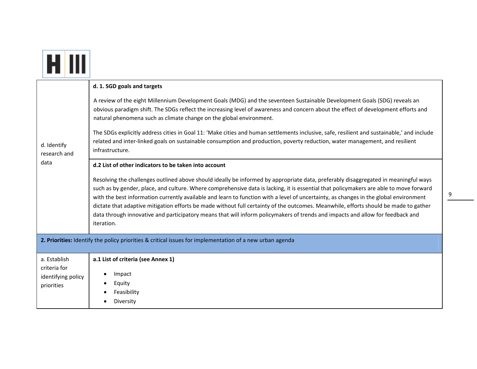| d. Identify<br>research and<br>data                                                                      | d. 1. SGD goals and targets<br>A review of the eight Millennium Development Goals (MDG) and the seventeen Sustainable Development Goals (SDG) reveals an<br>obvious paradigm shift. The SDGs reflect the increasing level of awareness and concern about the effect of development efforts and<br>natural phenomena such as climate change on the global environment.<br>The SDGs explicitly address cities in Goal 11: 'Make cities and human settlements inclusive, safe, resilient and sustainable,' and include<br>related and inter-linked goals on sustainable consumption and production, poverty reduction, water management, and resilient<br>infrastructure.                                                                                                  |  |
|----------------------------------------------------------------------------------------------------------|-------------------------------------------------------------------------------------------------------------------------------------------------------------------------------------------------------------------------------------------------------------------------------------------------------------------------------------------------------------------------------------------------------------------------------------------------------------------------------------------------------------------------------------------------------------------------------------------------------------------------------------------------------------------------------------------------------------------------------------------------------------------------|--|
|                                                                                                          | d.2 List of other indicators to be taken into account<br>Resolving the challenges outlined above should ideally be informed by appropriate data, preferably disaggregated in meaningful ways<br>such as by gender, place, and culture. Where comprehensive data is lacking, it is essential that policymakers are able to move forward<br>with the best information currently available and learn to function with a level of uncertainty, as changes in the global environment<br>dictate that adaptive mitigation efforts be made without full certainty of the outcomes. Meanwhile, efforts should be made to gather<br>data through innovative and participatory means that will inform policymakers of trends and impacts and allow for feedback and<br>iteration. |  |
| 2. Priorities: Identify the policy priorities & critical issues for implementation of a new urban agenda |                                                                                                                                                                                                                                                                                                                                                                                                                                                                                                                                                                                                                                                                                                                                                                         |  |
| a. Establish<br>criteria for<br>identifying policy<br>priorities                                         | a.1 List of criteria (see Annex 1)<br>Impact<br>Equity<br>Feasibility<br>Diversity                                                                                                                                                                                                                                                                                                                                                                                                                                                                                                                                                                                                                                                                                      |  |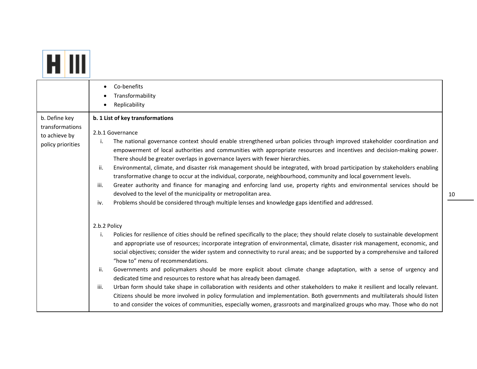|                                                                        | Co-benefits                                                                                                                                                                                                                                                                                                                                                                                                                                                                                                                                                                                                                                                                                                                                                                                     |
|------------------------------------------------------------------------|-------------------------------------------------------------------------------------------------------------------------------------------------------------------------------------------------------------------------------------------------------------------------------------------------------------------------------------------------------------------------------------------------------------------------------------------------------------------------------------------------------------------------------------------------------------------------------------------------------------------------------------------------------------------------------------------------------------------------------------------------------------------------------------------------|
|                                                                        | Transformability<br>Replicability                                                                                                                                                                                                                                                                                                                                                                                                                                                                                                                                                                                                                                                                                                                                                               |
| b. Define key<br>transformations<br>to achieve by<br>policy priorities | b. 1 List of key transformations<br>2.b.1 Governance<br>The national governance context should enable strengthened urban policies through improved stakeholder coordination and<br>i.<br>empowerment of local authorities and communities with appropriate resources and incentives and decision-making power.<br>There should be greater overlaps in governance layers with fewer hierarchies.<br>Environmental, climate, and disaster risk management should be integrated, with broad participation by stakeholders enabling<br>ii.<br>transformative change to occur at the individual, corporate, neighbourhood, community and local government levels.<br>Greater authority and finance for managing and enforcing land use, property rights and environmental services should be<br>iii. |
|                                                                        | devolved to the level of the municipality or metropolitan area.<br>Problems should be considered through multiple lenses and knowledge gaps identified and addressed.<br>iv.                                                                                                                                                                                                                                                                                                                                                                                                                                                                                                                                                                                                                    |
|                                                                        | 2.b.2 Policy                                                                                                                                                                                                                                                                                                                                                                                                                                                                                                                                                                                                                                                                                                                                                                                    |
|                                                                        | Policies for resilience of cities should be refined specifically to the place; they should relate closely to sustainable development<br>i.<br>and appropriate use of resources; incorporate integration of environmental, climate, disaster risk management, economic, and<br>social objectives; consider the wider system and connectivity to rural areas; and be supported by a comprehensive and tailored<br>"how to" menu of recommendations.                                                                                                                                                                                                                                                                                                                                               |
|                                                                        | Governments and policymakers should be more explicit about climate change adaptation, with a sense of urgency and<br>ii.<br>dedicated time and resources to restore what has already been damaged.<br>Urban form should take shape in collaboration with residents and other stakeholders to make it resilient and locally relevant.<br>iii.<br>Citizens should be more involved in policy formulation and implementation. Both governments and multilaterals should listen<br>to and consider the voices of communities, especially women, grassroots and marginalized groups who may. Those who do not                                                                                                                                                                                        |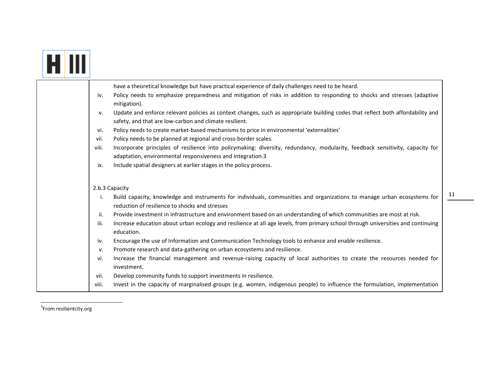|                                                                                                 | have a theoretical knowledge but have practical experience of daily challenges need to be heard.                                 |
|-------------------------------------------------------------------------------------------------|----------------------------------------------------------------------------------------------------------------------------------|
| iv.<br>mitigation).                                                                             | Policy needs to emphasize preparedness and mitigation of risks in addition to responding to shocks and stresses (adaptive        |
| v.<br>safety, and that are low-carbon and climate resilient.                                    | Update and enforce relevant policies as context changes, such as appropriate building codes that reflect both affordability and  |
| Policy needs to create market-based mechanisms to price in environmental 'externalities'<br>vi. |                                                                                                                                  |
| Policy needs to be planned at regional and cross-border scales.<br>vii.                         |                                                                                                                                  |
| viii.                                                                                           | Incorporate principles of resilience into policymaking: diversity, redundancy, modularity, feedback sensitivity, capacity for    |
| adaptation, environmental responsiveness and integration.3                                      |                                                                                                                                  |
| Include spatial designers at earlier stages in the policy process.<br>ix.                       |                                                                                                                                  |
|                                                                                                 |                                                                                                                                  |
| 2.b.3 Capacity                                                                                  |                                                                                                                                  |
| i.<br>reduction of resilience to shocks and stresses                                            | Build capacity, knowledge and instruments for individuals, communities and organizations to manage urban ecosystems for          |
| ii.                                                                                             | Provide investment in infrastructure and environment based on an understanding of which communities are most at risk.            |
| iii.<br>education.                                                                              | Increase education about urban ecology and resilience at all age levels, from primary school through universities and continuing |
| iv.                                                                                             | Encourage the use of Information and Communication Technology tools to enhance and enable resilience.                            |
| Promote research and data-gathering on urban ecosystems and resilience.<br>v.                   |                                                                                                                                  |
| vi.<br>investment.                                                                              | Increase the financial management and revenue-raising capacity of local authorities to create the resources needed for           |
| Develop community funds to support investments in resilience.<br>vii.                           |                                                                                                                                  |
| viii.                                                                                           | Invest in the capacity of marginalised groups (e.g. women, indigenous people) to influence the formulation, implementation       |

<sup>3</sup>From resilientcity.org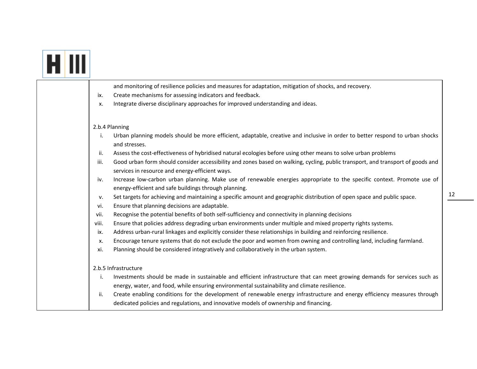| and monitoring of resilience policies and measures for adaptation, mitigation of shocks, and recovery.                                                                                                                          |
|---------------------------------------------------------------------------------------------------------------------------------------------------------------------------------------------------------------------------------|
| Create mechanisms for assessing indicators and feedback.<br>ix.                                                                                                                                                                 |
| Integrate diverse disciplinary approaches for improved understanding and ideas.<br>х.                                                                                                                                           |
| 2.b.4 Planning                                                                                                                                                                                                                  |
| Urban planning models should be more efficient, adaptable, creative and inclusive in order to better respond to urban shocks<br>i.<br>and stresses.                                                                             |
| Assess the cost-effectiveness of hybridised natural ecologies before using other means to solve urban problems<br>ii.                                                                                                           |
| Good urban form should consider accessibility and zones based on walking, cycling, public transport, and transport of goods and<br>iii.<br>services in resource and energy-efficient ways.                                      |
| Increase low-carbon urban planning. Make use of renewable energies appropriate to the specific context. Promote use of<br>iv.<br>energy-efficient and safe buildings through planning.                                          |
| Set targets for achieving and maintaining a specific amount and geographic distribution of open space and public space.<br>v.<br>Ensure that planning decisions are adaptable.<br>vi.                                           |
| Recognise the potential benefits of both self-sufficiency and connectivity in planning decisions<br>vii.                                                                                                                        |
| Ensure that policies address degrading urban environments under multiple and mixed property rights systems.<br>viii.                                                                                                            |
| Address urban-rural linkages and explicitly consider these relationships in building and reinforcing resilience.<br>ix.                                                                                                         |
| Encourage tenure systems that do not exclude the poor and women from owning and controlling land, including farmland.<br>х.                                                                                                     |
| Planning should be considered integratively and collaboratively in the urban system.<br>xi.                                                                                                                                     |
| 2.b.5 Infrastructure                                                                                                                                                                                                            |
| Investments should be made in sustainable and efficient infrastructure that can meet growing demands for services such as<br>i.<br>energy, water, and food, while ensuring environmental sustainability and climate resilience. |
| Create enabling conditions for the development of renewable energy infrastructure and energy efficiency measures through<br>ii.<br>dedicated policies and regulations, and innovative models of ownership and financing.        |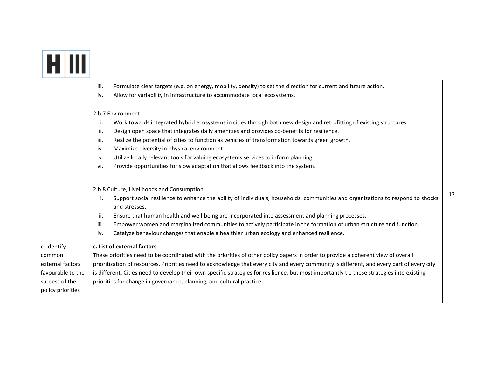|                                                                                                       | Formulate clear targets (e.g. on energy, mobility, density) to set the direction for current and future action.<br>iii.<br>Allow for variability in infrastructure to accommodate local ecosystems.<br>iv.                                                                                                                                                                                                                                                                                                                                                                                                  |
|-------------------------------------------------------------------------------------------------------|-------------------------------------------------------------------------------------------------------------------------------------------------------------------------------------------------------------------------------------------------------------------------------------------------------------------------------------------------------------------------------------------------------------------------------------------------------------------------------------------------------------------------------------------------------------------------------------------------------------|
|                                                                                                       | 2.b.7 Environment<br>Work towards integrated hybrid ecosystems in cities through both new design and retrofitting of existing structures.<br>j.<br>ii.<br>Design open space that integrates daily amenities and provides co-benefits for resilience.<br>Realize the potential of cities to function as vehicles of transformation towards green growth.<br>iii.<br>Maximize diversity in physical environment.<br>iv.<br>Utilize locally relevant tools for valuing ecosystems services to inform planning.<br>v.<br>Provide opportunities for slow adaptation that allows feedback into the system.<br>vi. |
|                                                                                                       | 2.b.8 Culture, Livelihoods and Consumption<br>Support social resilience to enhance the ability of individuals, households, communities and organizations to respond to shocks<br>i.<br>and stresses.<br>ii.<br>Ensure that human health and well-being are incorporated into assessment and planning processes.<br>Empower women and marginalized communities to actively participate in the formation of urban structure and function.<br>iii.<br>Catalyze behaviour changes that enable a healthier urban ecology and enhanced resilience.<br>iv.                                                         |
| c. Identify<br>common<br>external factors<br>favourable to the<br>success of the<br>policy priorities | c. List of external factors<br>These priorities need to be coordinated with the priorities of other policy papers in order to provide a coherent view of overall<br>prioritization of resources. Priorities need to acknowledge that every city and every community is different, and every part of every city<br>is different. Cities need to develop their own specific strategies for resilience, but most importantly tie these strategies into existing<br>priorities for change in governance, planning, and cultural practice.                                                                       |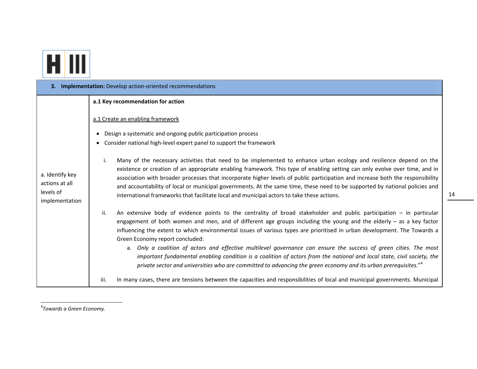

| 3. Implementation: Develop action-oriented recommendations       |                                                                                                                                                                                                                                                                                                                                                                                                                                                                                                                                                                                                                                                                                                                                                                                                        |  |
|------------------------------------------------------------------|--------------------------------------------------------------------------------------------------------------------------------------------------------------------------------------------------------------------------------------------------------------------------------------------------------------------------------------------------------------------------------------------------------------------------------------------------------------------------------------------------------------------------------------------------------------------------------------------------------------------------------------------------------------------------------------------------------------------------------------------------------------------------------------------------------|--|
|                                                                  | a.1 Key recommendation for action                                                                                                                                                                                                                                                                                                                                                                                                                                                                                                                                                                                                                                                                                                                                                                      |  |
| a. Identify key<br>actions at all<br>levels of<br>implementation | a.1 Create an enabling framework<br>Design a systematic and ongoing public participation process<br>Consider national high-level expert panel to support the framework                                                                                                                                                                                                                                                                                                                                                                                                                                                                                                                                                                                                                                 |  |
|                                                                  | Many of the necessary activities that need to be implemented to enhance urban ecology and resilience depend on the<br>i.<br>existence or creation of an appropriate enabling framework. This type of enabling setting can only evolve over time, and in<br>association with broader processes that incorporate higher levels of public participation and increase both the responsibility<br>and accountability of local or municipal governments. At the same time, these need to be supported by national policies and<br>international frameworks that facilitate local and municipal actors to take these actions.                                                                                                                                                                                 |  |
|                                                                  | An extensive body of evidence points to the centrality of broad stakeholder and public participation $-$ in particular<br>ii.<br>engagement of both women and men, and of different age groups including the young and the elderly $-$ as a key factor<br>influencing the extent to which environmental issues of various types are prioritised in urban development. The Towards a<br>Green Economy report concluded:<br>a. Only a coalition of actors and effective multilevel governance can ensure the success of green cities. The most<br>important fundamental enabling condition is a coalition of actors from the national and local state, civil society, the<br>private sector and universities who are committed to advancing the green economy and its urban prerequisites." <sup>4</sup> |  |
|                                                                  | iii.<br>In many cases, there are tensions between the capacities and responsibilities of local and municipal governments. Municipal                                                                                                                                                                                                                                                                                                                                                                                                                                                                                                                                                                                                                                                                    |  |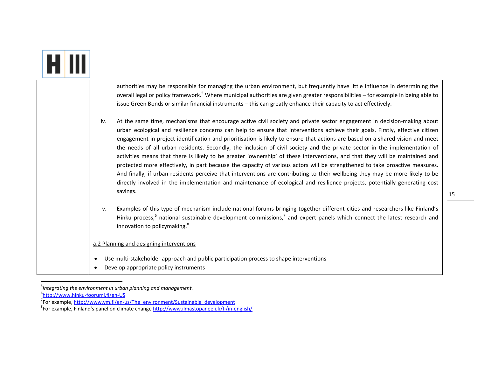| authorities may be responsible for managing the urban environment, but frequently have little influence in determining the<br>overall legal or policy framework. <sup>5</sup> Where municipal authorities are given greater responsibilities - for example in being able to<br>issue Green Bonds or similar financial instruments - this can greatly enhance their capacity to act effectively.                                                                                                                                                                                                                                                                                                                                                                                                                                                                                                                                                                                                                                                                            |  |
|----------------------------------------------------------------------------------------------------------------------------------------------------------------------------------------------------------------------------------------------------------------------------------------------------------------------------------------------------------------------------------------------------------------------------------------------------------------------------------------------------------------------------------------------------------------------------------------------------------------------------------------------------------------------------------------------------------------------------------------------------------------------------------------------------------------------------------------------------------------------------------------------------------------------------------------------------------------------------------------------------------------------------------------------------------------------------|--|
| At the same time, mechanisms that encourage active civil society and private sector engagement in decision-making about<br>iv.<br>urban ecological and resilience concerns can help to ensure that interventions achieve their goals. Firstly, effective citizen<br>engagement in project identification and prioritisation is likely to ensure that actions are based on a shared vision and meet<br>the needs of all urban residents. Secondly, the inclusion of civil society and the private sector in the implementation of<br>activities means that there is likely to be greater 'ownership' of these interventions, and that they will be maintained and<br>protected more effectively, in part because the capacity of various actors will be strengthened to take proactive measures.<br>And finally, if urban residents perceive that interventions are contributing to their wellbeing they may be more likely to be<br>directly involved in the implementation and maintenance of ecological and resilience projects, potentially generating cost<br>savings. |  |
| Examples of this type of mechanism include national forums bringing together different cities and researchers like Finland's<br>v.<br>Hinku process, <sup>6</sup> national sustainable development commissions, <sup>7</sup> and expert panels which connect the latest research and<br>innovation to policymaking. <sup>8</sup>                                                                                                                                                                                                                                                                                                                                                                                                                                                                                                                                                                                                                                                                                                                                           |  |
| a.2 Planning and designing interventions                                                                                                                                                                                                                                                                                                                                                                                                                                                                                                                                                                                                                                                                                                                                                                                                                                                                                                                                                                                                                                   |  |
| Use multi-stakeholder approach and public participation process to shape interventions<br>$\bullet$<br>Develop appropriate policy instruments                                                                                                                                                                                                                                                                                                                                                                                                                                                                                                                                                                                                                                                                                                                                                                                                                                                                                                                              |  |

<sup>5</sup>*Integrating the environment in urban planning and management.*

<sup>6</sup>http://www.hinku‐foorumi.fi/en‐US

<sup>&</sup>lt;sup>7</sup>For example, http://www.ym.fi/en-us/The\_environment/Sustainable\_development

<sup>&</sup>lt;sup>8</sup>For example, Finland's panel on climate change http://www.ilmastopaneeli.fi/fi/in-english/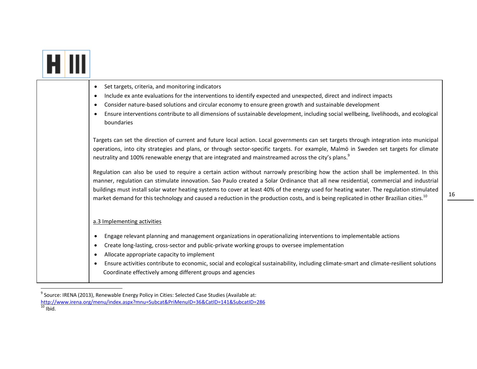|  | Set targets, criteria, and monitoring indicators<br>$\bullet$<br>Include ex ante evaluations for the interventions to identify expected and unexpected, direct and indirect impacts<br>$\bullet$<br>Consider nature-based solutions and circular economy to ensure green growth and sustainable development<br>$\bullet$<br>Ensure interventions contribute to all dimensions of sustainable development, including social wellbeing, livelihoods, and ecological<br>boundaries<br>Targets can set the direction of current and future local action. Local governments can set targets through integration into municipal<br>operations, into city strategies and plans, or through sector-specific targets. For example, Malmö in Sweden set targets for climate<br>neutrality and 100% renewable energy that are integrated and mainstreamed across the city's plans. <sup>9</sup><br>Regulation can also be used to require a certain action without narrowly prescribing how the action shall be implemented. In this<br>manner, regulation can stimulate innovation. Sao Paulo created a Solar Ordinance that all new residential, commercial and industrial<br>buildings must install solar water heating systems to cover at least 40% of the energy used for heating water. The regulation stimulated<br>market demand for this technology and caused a reduction in the production costs, and is being replicated in other Brazilian cities. <sup>10</sup> |
|--|---------------------------------------------------------------------------------------------------------------------------------------------------------------------------------------------------------------------------------------------------------------------------------------------------------------------------------------------------------------------------------------------------------------------------------------------------------------------------------------------------------------------------------------------------------------------------------------------------------------------------------------------------------------------------------------------------------------------------------------------------------------------------------------------------------------------------------------------------------------------------------------------------------------------------------------------------------------------------------------------------------------------------------------------------------------------------------------------------------------------------------------------------------------------------------------------------------------------------------------------------------------------------------------------------------------------------------------------------------------------------------------------------------------------------------------------------------------------|
|  | a.3 Implementing activities<br>Engage relevant planning and management organizations in operationalizing interventions to implementable actions<br>$\bullet$<br>Create long-lasting, cross-sector and public-private working groups to oversee implementation<br>$\bullet$<br>Allocate appropriate capacity to implement<br>$\bullet$<br>Ensure activities contribute to economic, social and ecological sustainability, including climate-smart and climate-resilient solutions<br>$\bullet$<br>Coordinate effectively among different groups and agencies                                                                                                                                                                                                                                                                                                                                                                                                                                                                                                                                                                                                                                                                                                                                                                                                                                                                                                         |

 $^9$  Source: IRENA (2013), Renewable Energy Policy in Cities: Selected Case Studies (Available at:

http://www.irena.org/menu/index.aspx?mnu=Subcat&PriMenuID=36&CatID=141&SubcatID=286<br><sup>10</sup> Ibid.

<sup>16</sup>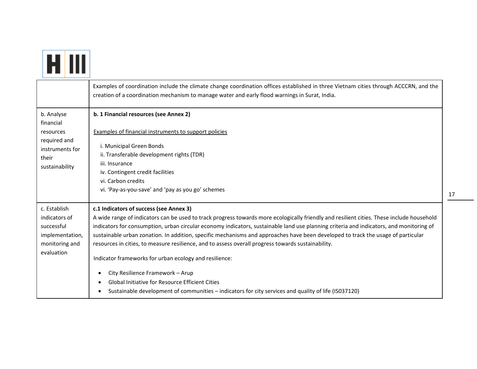|                                                                                                    | Examples of coordination include the climate change coordination offices established in three Vietnam cities through ACCCRN, and the<br>creation of a coordination mechanism to manage water and early flood warnings in Surat, India.                                                                                                                                                                                                                                                                                                                                                                                                                                                                                                                                                                                                         |
|----------------------------------------------------------------------------------------------------|------------------------------------------------------------------------------------------------------------------------------------------------------------------------------------------------------------------------------------------------------------------------------------------------------------------------------------------------------------------------------------------------------------------------------------------------------------------------------------------------------------------------------------------------------------------------------------------------------------------------------------------------------------------------------------------------------------------------------------------------------------------------------------------------------------------------------------------------|
| b. Analyse<br>financial<br>resources<br>required and<br>instruments for<br>their<br>sustainability | b. 1 Financial resources (see Annex 2)<br>Examples of financial instruments to support policies<br>i. Municipal Green Bonds<br>ii. Transferable development rights (TDR)<br>iii. Insurance<br>iv. Contingent credit facilities<br>vi. Carbon credits<br>vi. 'Pay-as-you-save' and 'pay as you go' schemes                                                                                                                                                                                                                                                                                                                                                                                                                                                                                                                                      |
| c. Establish<br>indicators of<br>successful<br>implementation,<br>monitoring and<br>evaluation     | c.1 Indicators of success (see Annex 3)<br>A wide range of indicators can be used to track progress towards more ecologically friendly and resilient cities. These include household<br>indicators for consumption, urban circular economy indicators, sustainable land use planning criteria and indicators, and monitoring of<br>sustainable urban zonation. In addition, specific mechanisms and approaches have been developed to track the usage of particular<br>resources in cities, to measure resilience, and to assess overall progress towards sustainability.<br>Indicator frameworks for urban ecology and resilience:<br>City Resilience Framework - Arup<br>٠<br><b>Global Initiative for Resource Efficient Cities</b><br>Sustainable development of communities - indicators for city services and quality of life (ISO37120) |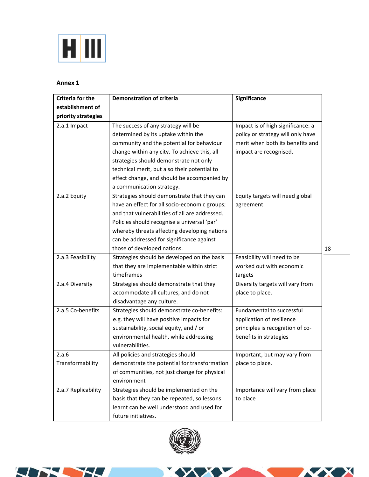

# **Annex 1**

| <b>Criteria for the</b> | <b>Demonstration of criteria</b>               | Significance                      |    |
|-------------------------|------------------------------------------------|-----------------------------------|----|
| establishment of        |                                                |                                   |    |
| priority strategies     |                                                |                                   |    |
| 2.a.1 Impact            | The success of any strategy will be            | Impact is of high significance: a |    |
|                         | determined by its uptake within the            | policy or strategy will only have |    |
|                         | community and the potential for behaviour      | merit when both its benefits and  |    |
|                         | change within any city. To achieve this, all   | impact are recognised.            |    |
|                         | strategies should demonstrate not only         |                                   |    |
|                         | technical merit, but also their potential to   |                                   |    |
|                         | effect change, and should be accompanied by    |                                   |    |
|                         | a communication strategy.                      |                                   |    |
| 2.a.2 Equity            | Strategies should demonstrate that they can    | Equity targets will need global   |    |
|                         | have an effect for all socio-economic groups;  | agreement.                        |    |
|                         | and that vulnerabilities of all are addressed. |                                   |    |
|                         | Policies should recognise a universal 'par'    |                                   |    |
|                         | whereby threats affecting developing nations   |                                   |    |
|                         | can be addressed for significance against      |                                   |    |
|                         | those of developed nations.                    |                                   | 18 |
| 2.a.3 Feasibility       | Strategies should be developed on the basis    | Feasibility will need to be       |    |
|                         | that they are implementable within strict      | worked out with economic          |    |
|                         | timeframes                                     | targets                           |    |
| 2.a.4 Diversity         | Strategies should demonstrate that they        | Diversity targets will vary from  |    |
|                         | accommodate all cultures, and do not           | place to place.                   |    |
|                         | disadvantage any culture.                      |                                   |    |
| 2.a.5 Co-benefits       | Strategies should demonstrate co-benefits:     | Fundamental to successful         |    |
|                         | e.g. they will have positive impacts for       | application of resilience         |    |
|                         | sustainability, social equity, and / or        | principles is recognition of co-  |    |
|                         | environmental health, while addressing         | benefits in strategies            |    |
|                         | vulnerabilities.                               |                                   |    |
| 2.a.6                   | All policies and strategies should             | Important, but may vary from      |    |
| Transformability        | demonstrate the potential for transformation   | place to place.                   |    |
|                         | of communities, not just change for physical   |                                   |    |
|                         | environment                                    |                                   |    |
| 2.a.7 Replicability     | Strategies should be implemented on the        | Importance will vary from place   |    |
|                         | basis that they can be repeated, so lessons    | to place                          |    |
|                         | learnt can be well understood and used for     |                                   |    |
|                         | future initiatives.                            |                                   |    |



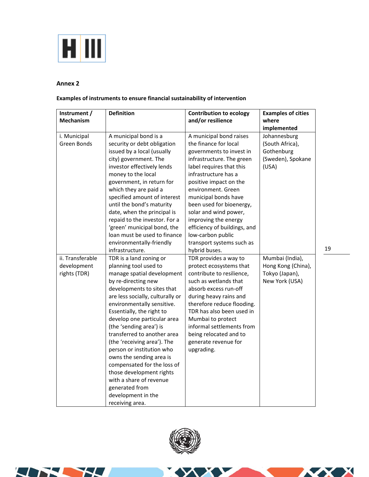

## **Annex 2**

# **Examples of instruments to ensure financial sustainability of intervention**

| Instrument /<br><b>Mechanism</b>                | <b>Definition</b>                                                                                                                                                                                                                                                                                                                                                                                                                                                                                                                                                    | <b>Contribution to ecology</b><br>and/or resilience                                                                                                                                                                                                                                                                                                                                                                   | <b>Examples of cities</b><br>where<br>implemented                           |
|-------------------------------------------------|----------------------------------------------------------------------------------------------------------------------------------------------------------------------------------------------------------------------------------------------------------------------------------------------------------------------------------------------------------------------------------------------------------------------------------------------------------------------------------------------------------------------------------------------------------------------|-----------------------------------------------------------------------------------------------------------------------------------------------------------------------------------------------------------------------------------------------------------------------------------------------------------------------------------------------------------------------------------------------------------------------|-----------------------------------------------------------------------------|
| i. Municipal<br>Green Bonds                     | A municipal bond is a<br>security or debt obligation<br>issued by a local (usually<br>city) government. The<br>investor effectively lends<br>money to the local<br>government, in return for<br>which they are paid a<br>specified amount of interest<br>until the bond's maturity<br>date, when the principal is<br>repaid to the investor. For a<br>'green' municipal bond, the<br>loan must be used to finance<br>environmentally-friendly<br>infrastructure.                                                                                                     | A municipal bond raises<br>the finance for local<br>governments to invest in<br>infrastructure. The green<br>label requires that this<br>infrastructure has a<br>positive impact on the<br>environment. Green<br>municipal bonds have<br>been used for bioenergy,<br>solar and wind power,<br>improving the energy<br>efficiency of buildings, and<br>low-carbon public<br>transport systems such as<br>hybrid buses. | Johannesburg<br>(South Africa),<br>Gothenburg<br>(Sweden), Spokane<br>(USA) |
| ii. Transferable<br>development<br>rights (TDR) | TDR is a land zoning or<br>planning tool used to<br>manage spatial development<br>by re-directing new<br>developments to sites that<br>are less socially, culturally or<br>environmentally sensitive.<br>Essentially, the right to<br>develop one particular area<br>(the 'sending area') is<br>transferred to another area<br>(the 'receiving area'). The<br>person or institution who<br>owns the sending area is<br>compensated for the loss of<br>those development rights<br>with a share of revenue<br>generated from<br>development in the<br>receiving area. | TDR provides a way to<br>protect ecosystems that<br>contribute to resilience,<br>such as wetlands that<br>absorb excess run-off<br>during heavy rains and<br>therefore reduce flooding.<br>TDR has also been used in<br>Mumbai to protect<br>informal settlements from<br>being relocated and to<br>generate revenue for<br>upgrading.                                                                                | Mumbai (India),<br>Hong Kong (China),<br>Tokyo (Japan),<br>New York (USA)   |





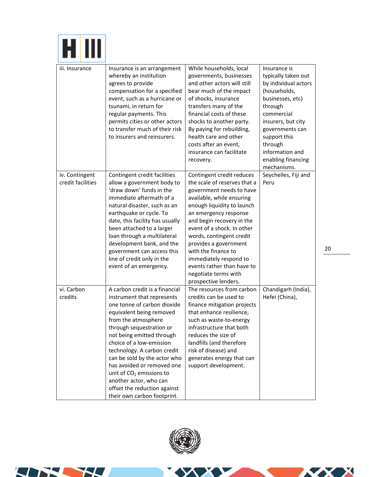

| iii. Insurance                      | Insurance is an arrangement<br>whereby an institution<br>agrees to provide<br>compensation for a specified<br>event, such as a hurricane or<br>tsunami, in return for<br>regular payments. This<br>permits cities or other actors<br>to transfer much of their risk<br>to insurers and reinsurers.                                                                                                                                                      | While households, local<br>governments, businesses<br>and other actors will still<br>bear much of the impact<br>of shocks, insurance<br>transfers many of the<br>financial costs of these<br>shocks to another party.<br>By paying for rebuilding,<br>health care and other<br>costs after an event,<br>insurance can facilitate<br>recovery.                                                                            | Insurance is<br>typically taken out<br>by individual actors<br>(households,<br>businesses, etc)<br>through<br>commercial<br>insurers, but city<br>governments can<br>support this<br>through<br>information and<br>enabling financing<br>mechanisms. |
|-------------------------------------|---------------------------------------------------------------------------------------------------------------------------------------------------------------------------------------------------------------------------------------------------------------------------------------------------------------------------------------------------------------------------------------------------------------------------------------------------------|--------------------------------------------------------------------------------------------------------------------------------------------------------------------------------------------------------------------------------------------------------------------------------------------------------------------------------------------------------------------------------------------------------------------------|------------------------------------------------------------------------------------------------------------------------------------------------------------------------------------------------------------------------------------------------------|
| iv. Contingent<br>credit facilities | Contingent credit facilities<br>allow a government body to<br>'draw down' funds in the<br>immediate aftermath of a<br>natural disaster, such as an<br>earthquake or cycle. To<br>date, this facility has usually<br>been attached to a larger<br>loan through a multilateral<br>development bank, and the<br>government can access this<br>line of credit only in the<br>event of an emergency.                                                         | Contingent credit reduces<br>the scale of reserves that a<br>government needs to have<br>available, while ensuring<br>enough liquidity to launch<br>an emergency response<br>and begin recovery in the<br>event of a shock. In other<br>words, contingent credit<br>provides a government<br>with the finance to<br>immediately respond to<br>events rather than have to<br>negotiate terms with<br>prospective lenders. | Seychelles, Fiji and<br>Peru                                                                                                                                                                                                                         |
| vi. Carbon<br>credits               | A carbon credit is a financial<br>instrument that represents<br>one tonne of carbon dioxide<br>equivalent being removed<br>from the atmosphere<br>through sequestration or<br>not being emitted through<br>choice of a low-emission<br>technology. A carbon credit<br>can be sold by the actor who<br>has avoided or removed one<br>unit of $CO2$ emissions to<br>another actor, who can<br>offset the reduction against<br>their own carbon footprint. | The resources from carbon<br>credits can be used to<br>finance mitigation projects<br>that enhance resilience,<br>such as waste-to-energy<br>infrastructure that both<br>reduces the size of<br>landfills (and therefore<br>risk of disease) and<br>generates energy that can<br>support development.                                                                                                                    | Chandigarh (India),<br>Hefei (China),                                                                                                                                                                                                                |





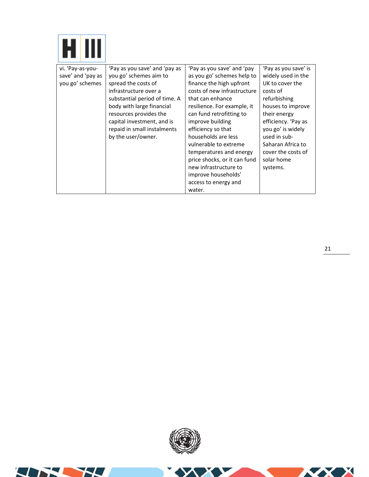| vi. 'Pay-as-you-  | 'Pay as you save' and 'pay as | 'Pay as you save' and 'pay   | 'Pay as you save' is |
|-------------------|-------------------------------|------------------------------|----------------------|
| save' and 'pay as | you go' schemes aim to        | as you go' schemes help to   | widely used in the   |
| you go' schemes   | spread the costs of           | finance the high upfront     | UK to cover the      |
|                   | infrastructure over a         | costs of new infrastructure  | costs of             |
|                   | substantial period of time. A | that can enhance             | refurbishing         |
|                   | body with large financial     | resilience. For example, it  | houses to improve    |
|                   | resources provides the        | can fund retrofitting to     | their energy         |
|                   | capital investment, and is    | improve building             | efficiency. 'Pay as  |
|                   | repaid in small instalments   | efficiency so that           | you go' is widely    |
|                   | by the user/owner.            | households are less          | used in sub-         |
|                   |                               | vulnerable to extreme        | Saharan Africa to    |
|                   |                               | temperatures and energy      | cover the costs of   |
|                   |                               | price shocks, or it can fund | solar home           |
|                   |                               | new infrastructure to        | systems.             |
|                   |                               | improve households'          |                      |
|                   |                               | access to energy and         |                      |
|                   |                               | water.                       |                      |

**ZX** 

Х



44

 $\mathbf{L}$ 

 $\overline{\phantom{a}}$